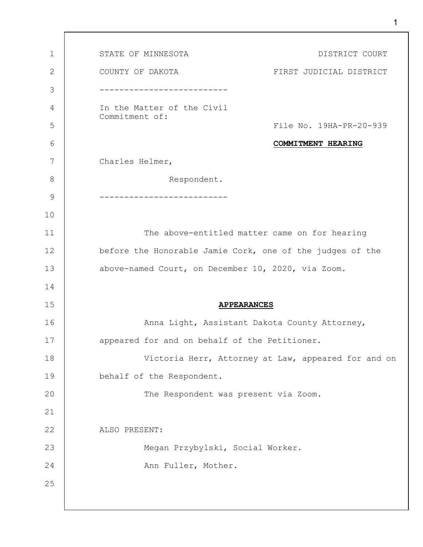1 2 3 4 5 6 7 8 9 10 11 12 13 14 15 16 17 18 19 20 21 22 23 24 25 STATE OF MINNESOTA **Example 20 ISTATE OF MINNESOTA** COUNTY OF DAKOTA **FIRST JUDICIAL DISTRICT** -------------------------- In the Matter of the Civil Commitment of: File No. 19HA-PR-20-939 **COMMITMENT HEARING** Charles Helmer, Respondent. -------------------------- The above-entitled matter came on for hearing before the Honorable Jamie Cork, one of the judges of the above-named Court, on December 10, 2020, via Zoom. **APPEARANCES** Anna Light, Assistant Dakota County Attorney, appeared for and on behalf of the Petitioner. Victoria Herr, Attorney at Law, appeared for and on behalf of the Respondent. The Respondent was present via Zoom. ALSO PRESENT: Megan Przybylski, Social Worker. Ann Fuller, Mother.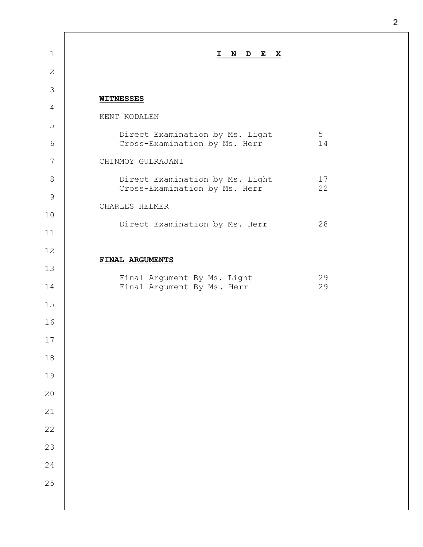| $\mathbf 1$  | N D E<br>X<br>$\mathbf{I}$                                                   |  |
|--------------|------------------------------------------------------------------------------|--|
| $\mathbf{2}$ |                                                                              |  |
| 3            | <b>WITNESSES</b>                                                             |  |
| 4            | KENT KODALEN                                                                 |  |
| 5            | 5<br>Direct Examination by Ms. Light                                         |  |
| 6            | Cross-Examination by Ms. Herr<br>14                                          |  |
| 7            | CHINMOY GULRAJANI                                                            |  |
| $8\,$        | Direct Examination by Ms. Light<br>17<br>22<br>Cross-Examination by Ms. Herr |  |
| $\mathsf 9$  | CHARLES HELMER                                                               |  |
| 10           | Direct Examination by Ms. Herr<br>28                                         |  |
| 11           |                                                                              |  |
| 12           | FINAL ARGUMENTS                                                              |  |
| 13           | Final Argument By Ms. Light<br>29                                            |  |
| 14           | Final Argument By Ms. Herr<br>29                                             |  |
| 15           |                                                                              |  |
| 16           |                                                                              |  |
| 17           |                                                                              |  |
| 18           |                                                                              |  |
| 19           |                                                                              |  |
| 20           |                                                                              |  |
| 21           |                                                                              |  |
| 22           |                                                                              |  |
| 23           |                                                                              |  |
| 24           |                                                                              |  |
| 25           |                                                                              |  |
|              |                                                                              |  |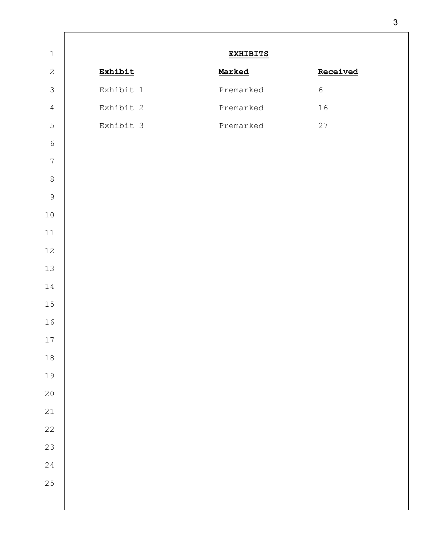|           | <b>EXHIBITS</b> |            |
|-----------|-----------------|------------|
| Exhibit   | Marked          | Received   |
| Exhibit 1 | Premarked       | $\sqrt{6}$ |
| Exhibit 2 | Premarked       | 16         |
| Exhibit 3 | Premarked       | 27         |
|           |                 |            |
|           |                 |            |
|           |                 |            |
|           |                 |            |
|           |                 |            |
|           |                 |            |
|           |                 |            |
|           |                 |            |
|           |                 |            |
|           |                 |            |
|           |                 |            |
|           |                 |            |
|           |                 |            |
|           |                 |            |
|           |                 |            |
|           |                 |            |
|           |                 |            |
|           |                 |            |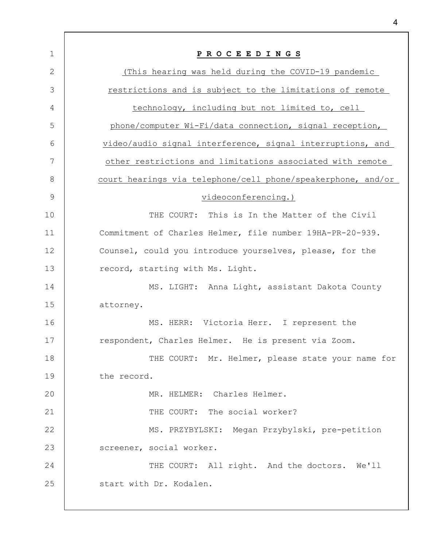| $\mathbf 1$ | PROCEEDINGS                                                  |
|-------------|--------------------------------------------------------------|
| 2           | (This hearing was held during the COVID-19 pandemic          |
| 3           | restrictions and is subject to the limitations of remote     |
| 4           | technology, including but not limited to, cell               |
| 5           | phone/computer Wi-Fi/data connection, signal reception,      |
| 6           | video/audio signal interference, signal interruptions, and   |
| 7           | other restrictions and limitations associated with remote    |
| 8           | court hearings via telephone/cell phone/speakerphone, and/or |
| 9           | videoconferencing.)                                          |
| 10          | THE COURT: This is In the Matter of the Civil                |
| 11          | Commitment of Charles Helmer, file number 19HA-PR-20-939.    |
| 12          | Counsel, could you introduce yourselves, please, for the     |
| 13          | record, starting with Ms. Light.                             |
| 14          | MS. LIGHT: Anna Light, assistant Dakota County               |
| 15          | attorney.                                                    |
| 16          | MS. HERR: Victoria Herr. I represent the                     |
| 17          | respondent, Charles Helmer. He is present via Zoom.          |
| 18          | THE COURT: Mr. Helmer, please state your name for            |
| 19          | the record.                                                  |
| 20          | MR. HELMER: Charles Helmer.                                  |
| 21          | THE COURT: The social worker?                                |
| 22          | MS. PRZYBYLSKI: Megan Przybylski, pre-petition               |
| 23          | screener, social worker.                                     |
| 24          | THE COURT: All right. And the doctors. We'll                 |
| 25          | start with Dr. Kodalen.                                      |
|             |                                                              |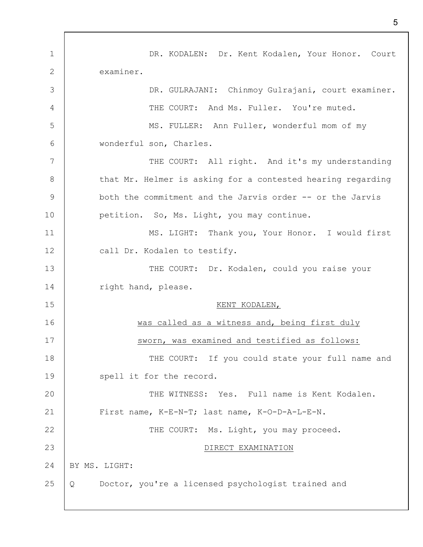1 2 3 4 5 6 7 8 9 10 11 12 13 14 15 16 17 18 19 20 21 22 23 24 25 DR. KODALEN: Dr. Kent Kodalen, Your Honor. Court examiner. DR. GULRAJANI: Chinmoy Gulrajani, court examiner. THE COURT: And Ms. Fuller. You're muted. MS. FULLER: Ann Fuller, wonderful mom of my wonderful son, Charles. THE COURT: All right. And it's my understanding that Mr. Helmer is asking for a contested hearing regarding both the commitment and the Jarvis order -- or the Jarvis petition. So, Ms. Light, you may continue. MS. LIGHT: Thank you, Your Honor. I would first call Dr. Kodalen to testify. THE COURT: Dr. Kodalen, could you raise your right hand, please. KENT KODALEN, was called as a witness and, being first duly sworn, was examined and testified as follows: THE COURT: If you could state your full name and spell it for the record. THE WITNESS: Yes. Full name is Kent Kodalen. First name, K-E-N-T; last name, K-O-D-A-L-E-N. THE COURT: Ms. Light, you may proceed. DIRECT EXAMINATION BY MS. LIGHT: Q Doctor, you're a licensed psychologist trained and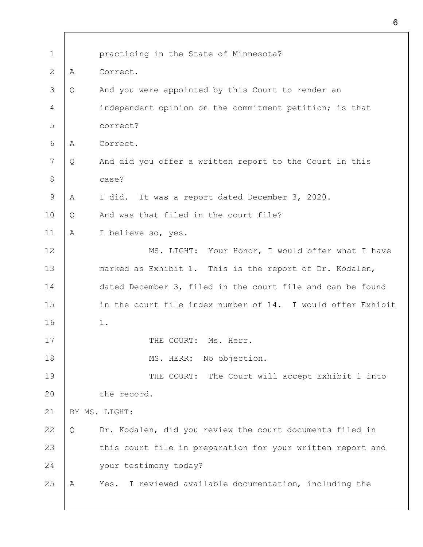| $\mathbf 1$  |   | practicing in the State of Minnesota?                       |
|--------------|---|-------------------------------------------------------------|
| $\mathbf{2}$ | A | Correct.                                                    |
| 3            | Q | And you were appointed by this Court to render an           |
| 4            |   | independent opinion on the commitment petition; is that     |
| 5            |   | correct?                                                    |
| 6            | A | Correct.                                                    |
| 7            | Q | And did you offer a written report to the Court in this     |
| $8\,$        |   | case?                                                       |
| 9            | Α | It was a report dated December 3, 2020.<br>I did.           |
| 10           | Q | And was that filed in the court file?                       |
| 11           | Α | I believe so, yes.                                          |
| 12           |   | MS. LIGHT: Your Honor, I would offer what I have            |
| 13           |   | marked as Exhibit 1. This is the report of Dr. Kodalen,     |
| 14           |   | dated December 3, filed in the court file and can be found  |
| 15           |   | in the court file index number of 14. I would offer Exhibit |
| 16           |   | 1.                                                          |
| 17           |   | THE COURT: Ms. Herr.                                        |
| 18           |   | No objection.<br>MS. HERR:                                  |
| 19           |   | THE COURT:<br>The Court will accept Exhibit 1 into          |
| 20           |   | the record.                                                 |
| 21           |   | BY MS. LIGHT:                                               |
| 22           | Q | Dr. Kodalen, did you review the court documents filed in    |
| 23           |   | this court file in preparation for your written report and  |
| 24           |   | your testimony today?                                       |
| 25           | Α | I reviewed available documentation, including the<br>Yes.   |
|              |   |                                                             |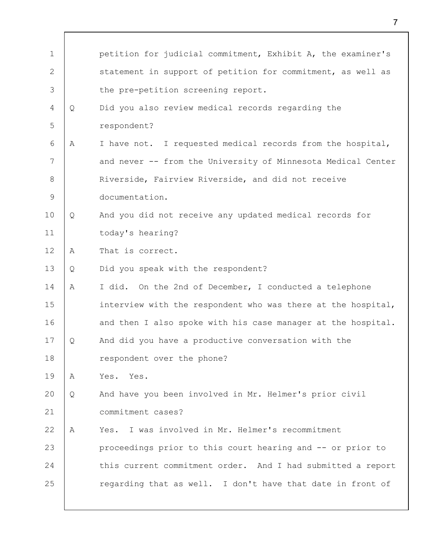| $\mathbf 1$ |   | petition for judicial commitment, Exhibit A, the examiner's  |
|-------------|---|--------------------------------------------------------------|
| 2           |   | statement in support of petition for commitment, as well as  |
| 3           |   | the pre-petition screening report.                           |
| 4           | Q | Did you also review medical records regarding the            |
| 5           |   | respondent?                                                  |
| 6           | A | I have not. I requested medical records from the hospital,   |
| 7           |   | and never -- from the University of Minnesota Medical Center |
| 8           |   | Riverside, Fairview Riverside, and did not receive           |
| 9           |   | documentation.                                               |
| 10          | Q | And you did not receive any updated medical records for      |
| 11          |   | today's hearing?                                             |
| 12          | A | That is correct.                                             |
| 13          | Q | Did you speak with the respondent?                           |
| 14          | Α | I did. On the 2nd of December, I conducted a telephone       |
| 15          |   | interview with the respondent who was there at the hospital, |
| 16          |   | and then I also spoke with his case manager at the hospital. |
| 17          | Q | And did you have a productive conversation with the          |
| 18          |   | respondent over the phone?                                   |
| 19          | А | Yes. Yes.                                                    |
| 20          | Q | And have you been involved in Mr. Helmer's prior civil       |
| 21          |   | commitment cases?                                            |
| 22          | A | I was involved in Mr. Helmer's recommitment<br>Yes.          |
| 23          |   | proceedings prior to this court hearing and -- or prior to   |
| 24          |   | this current commitment order. And I had submitted a report  |
| 25          |   | regarding that as well. I don't have that date in front of   |
|             |   |                                                              |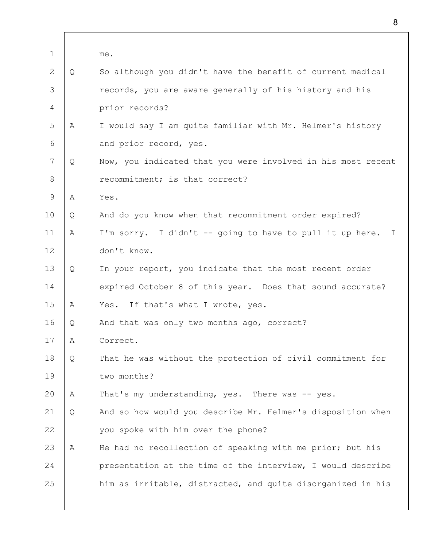| $\mathbf 1$ |   | me.                                                          |
|-------------|---|--------------------------------------------------------------|
| 2           | Q | So although you didn't have the benefit of current medical   |
| 3           |   | records, you are aware generally of his history and his      |
| 4           |   | prior records?                                               |
| 5           | A | I would say I am quite familiar with Mr. Helmer's history    |
| 6           |   | and prior record, yes.                                       |
| 7           | Q | Now, you indicated that you were involved in his most recent |
| 8           |   | recommitment; is that correct?                               |
| 9           | Α | Yes.                                                         |
| 10          | Q | And do you know when that recommitment order expired?        |
| 11          | A | I'm sorry. I didn't -- going to have to pull it up here. I   |
| 12          |   | don't know.                                                  |
| 13          | Q | In your report, you indicate that the most recent order      |
| 14          |   | expired October 8 of this year. Does that sound accurate?    |
| 15          | Α | If that's what I wrote, yes.<br>Yes.                         |
| 16          | Q | And that was only two months ago, correct?                   |
| 17          | Α | Correct.                                                     |
| 18          | Q | That he was without the protection of civil commitment for   |
| 19          |   | two months?                                                  |
| 20          | Α | That's my understanding, yes. There was -- yes.              |
| 21          | Q | And so how would you describe Mr. Helmer's disposition when  |
| 22          |   | you spoke with him over the phone?                           |
| 23          | Α | He had no recollection of speaking with me prior; but his    |
| 24          |   | presentation at the time of the interview, I would describe  |
| 25          |   | him as irritable, distracted, and quite disorganized in his  |
|             |   |                                                              |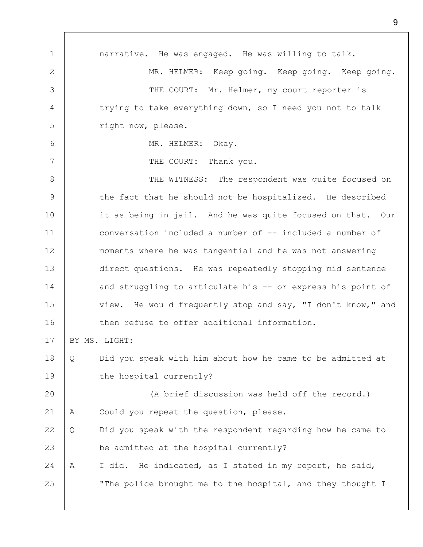1 2 3 4 5 6 7 8 9 10 11 12 13 14 15 16 17 18 19 20 21 22 23 24 25 narrative. He was engaged. He was willing to talk. MR. HELMER: Keep going. Keep going. Keep going. THE COURT: Mr. Helmer, my court reporter is trying to take everything down, so I need you not to talk right now, please. MR. HELMER: Okay. THE COURT: Thank you. THE WITNESS: The respondent was quite focused on the fact that he should not be hospitalized. He described it as being in jail. And he was quite focused on that. Our conversation included a number of -- included a number of moments where he was tangential and he was not answering direct questions. He was repeatedly stopping mid sentence and struggling to articulate his -- or express his point of view. He would frequently stop and say, "I don't know," and then refuse to offer additional information. BY MS. LIGHT: Q Did you speak with him about how he came to be admitted at the hospital currently? (A brief discussion was held off the record.) A Could you repeat the question, please. Q Did you speak with the respondent regarding how he came to be admitted at the hospital currently? A I did. He indicated, as I stated in my report, he said, "The police brought me to the hospital, and they thought I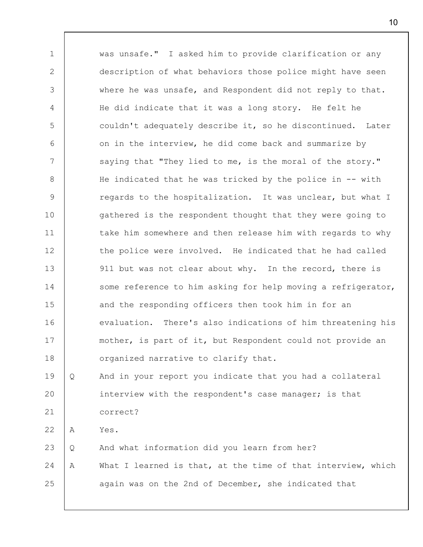1 2 3 4 5 6 7 8 9 10 11 12 13 14 15 16 17 18 19 20 21 22 23 24 25 was unsafe." I asked him to provide clarification or any description of what behaviors those police might have seen where he was unsafe, and Respondent did not reply to that. He did indicate that it was a long story. He felt he couldn't adequately describe it, so he discontinued. Later on in the interview, he did come back and summarize by saying that "They lied to me, is the moral of the story." He indicated that he was tricked by the police in -- with regards to the hospitalization. It was unclear, but what I gathered is the respondent thought that they were going to take him somewhere and then release him with regards to why the police were involved. He indicated that he had called 911 but was not clear about why. In the record, there is some reference to him asking for help moving a refrigerator, and the responding officers then took him in for an evaluation. There's also indications of him threatening his mother, is part of it, but Respondent could not provide an organized narrative to clarify that. Q And in your report you indicate that you had a collateral interview with the respondent's case manager; is that correct? A Yes. Q And what information did you learn from her? A What I learned is that, at the time of that interview, which again was on the 2nd of December, she indicated that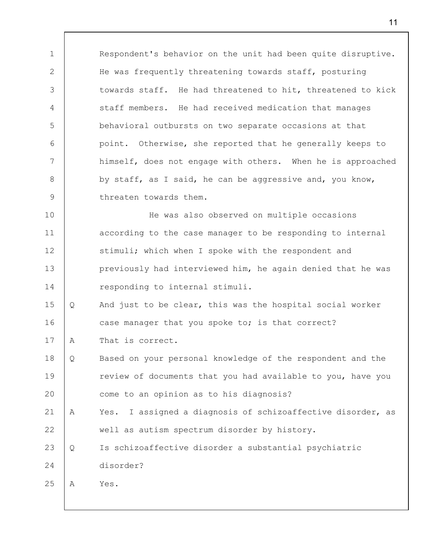Respondent's behavior on the unit had been quite disruptive. He was frequently threatening towards staff, posturing towards staff. He had threatened to hit, threatened to kick staff members. He had received medication that manages behavioral outbursts on two separate occasions at that point. Otherwise, she reported that he generally keeps to himself, does not engage with others. When he is approached by staff, as I said, he can be aggressive and, you know, threaten towards them.

10 11 12 13 14 He was also observed on multiple occasions according to the case manager to be responding to internal stimuli; which when I spoke with the respondent and previously had interviewed him, he again denied that he was responding to internal stimuli.

15 16 Q And just to be clear, this was the hospital social worker case manager that you spoke to; is that correct?

17 A That is correct.

18 19 20 Q Based on your personal knowledge of the respondent and the review of documents that you had available to you, have you come to an opinion as to his diagnosis?

21 22 A Yes. I assigned a diagnosis of schizoaffective disorder, as well as autism spectrum disorder by history.

23 24 Q Is schizoaffective disorder a substantial psychiatric disorder?

25 A Yes.

1

2

3

4

5

6

7

8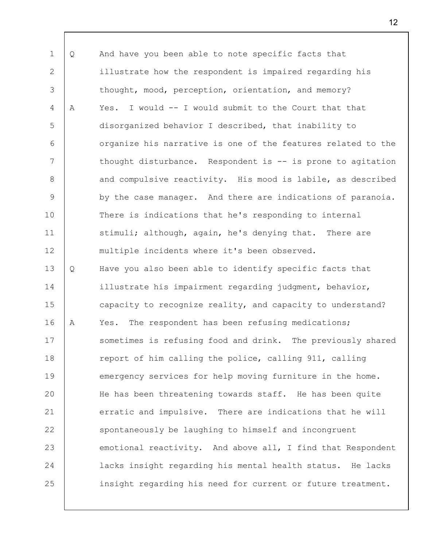1 2 3 4 5 6 7 8 9 10 11 12 13 14 15 16 17 18 19 20 21 22 23 24 25 Q And have you been able to note specific facts that illustrate how the respondent is impaired regarding his thought, mood, perception, orientation, and memory? A Yes. I would -- I would submit to the Court that that disorganized behavior I described, that inability to organize his narrative is one of the features related to the thought disturbance. Respondent is -- is prone to agitation and compulsive reactivity. His mood is labile, as described by the case manager. And there are indications of paranoia. There is indications that he's responding to internal stimuli; although, again, he's denying that. There are multiple incidents where it's been observed. Q Have you also been able to identify specific facts that illustrate his impairment regarding judgment, behavior, capacity to recognize reality, and capacity to understand? A Yes. The respondent has been refusing medications; sometimes is refusing food and drink. The previously shared report of him calling the police, calling 911, calling emergency services for help moving furniture in the home. He has been threatening towards staff. He has been quite erratic and impulsive. There are indications that he will spontaneously be laughing to himself and incongruent emotional reactivity. And above all, I find that Respondent lacks insight regarding his mental health status. He lacks insight regarding his need for current or future treatment.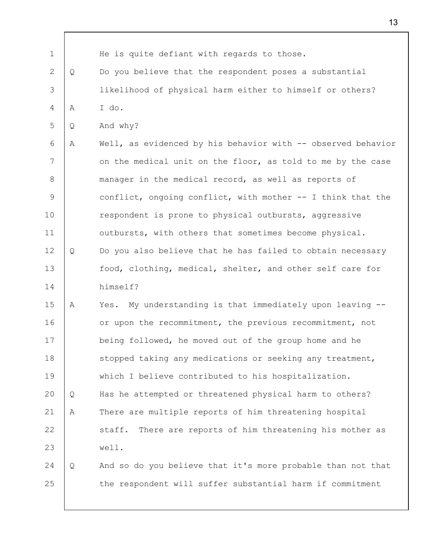1 2 3 4 5 6 7 8 9 10 11 12 13 14 15 16 17 18 19 20 21 22 23 24 25 He is quite defiant with regards to those. Q Do you believe that the respondent poses a substantial likelihood of physical harm either to himself or others? A I do. Q And why? A Well, as evidenced by his behavior with -- observed behavior on the medical unit on the floor, as told to me by the case manager in the medical record, as well as reports of conflict, ongoing conflict, with mother -- I think that the respondent is prone to physical outbursts, aggressive outbursts, with others that sometimes become physical. Q Do you also believe that he has failed to obtain necessary food, clothing, medical, shelter, and other self care for himself? A Yes. My understanding is that immediately upon leaving - or upon the recommitment, the previous recommitment, not being followed, he moved out of the group home and he stopped taking any medications or seeking any treatment, which I believe contributed to his hospitalization. Q Has he attempted or threatened physical harm to others? A There are multiple reports of him threatening hospital staff. There are reports of him threatening his mother as well. Q And so do you believe that it's more probable than not that the respondent will suffer substantial harm if commitment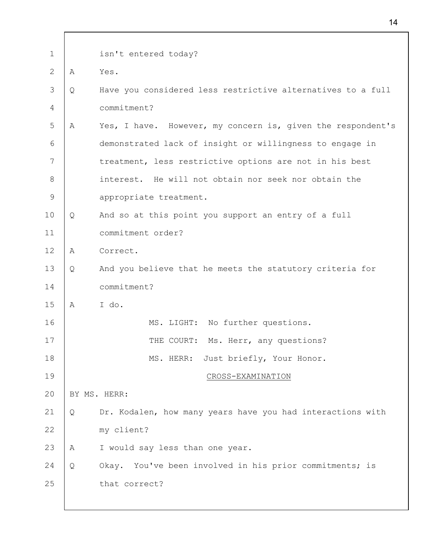| $\mathbf 1$ |   | isn't entered today?                                        |
|-------------|---|-------------------------------------------------------------|
| 2           | A | Yes.                                                        |
| 3           | Q | Have you considered less restrictive alternatives to a full |
| 4           |   | commitment?                                                 |
| 5           | A | Yes, I have. However, my concern is, given the respondent's |
| 6           |   | demonstrated lack of insight or willingness to engage in    |
| 7           |   | treatment, less restrictive options are not in his best     |
| 8           |   | interest. He will not obtain nor seek nor obtain the        |
| 9           |   | appropriate treatment.                                      |
| 10          | Q | And so at this point you support an entry of a full         |
| 11          |   | commitment order?                                           |
| 12          | A | Correct.                                                    |
| 13          | Q | And you believe that he meets the statutory criteria for    |
| 14          |   | commitment?                                                 |
| 15          | A | I do.                                                       |
| 16          |   | MS. LIGHT: No further questions.                            |
| $17$        |   | THE COURT: Ms. Herr, any questions?                         |
| 18          |   | Just briefly, Your Honor.<br>MS. HERR:                      |
| 19          |   | CROSS-EXAMINATION                                           |
| 20          |   | BY MS. HERR:                                                |
| 21          | Q | Dr. Kodalen, how many years have you had interactions with  |
| 22          |   | my client?                                                  |
| 23          | A | I would say less than one year.                             |
| 24          | Q | Okay. You've been involved in his prior commitments; is     |
| 25          |   | that correct?                                               |
|             |   |                                                             |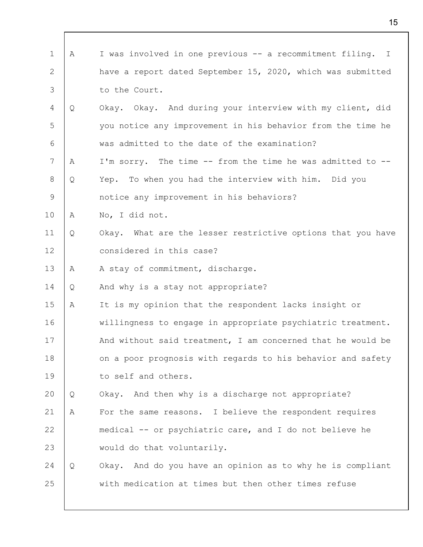| $\mathbf{1}$ | Α | I was involved in one previous -- a recommitment filing. I  |
|--------------|---|-------------------------------------------------------------|
| 2            |   | have a report dated September 15, 2020, which was submitted |
| 3            |   | to the Court.                                               |
| 4            | Q | Okay. Okay. And during your interview with my client, did   |
| 5            |   | you notice any improvement in his behavior from the time he |
| 6            |   | was admitted to the date of the examination?                |
| 7            | A | I'm sorry. The time -- from the time he was admitted to --  |
| 8            | Q | Yep. To when you had the interview with him. Did you        |
| 9            |   | notice any improvement in his behaviors?                    |
| 10           | Α | No, I did not.                                              |
| 11           | Q | Okay. What are the lesser restrictive options that you have |
| 12           |   | considered in this case?                                    |
| 13           | Α | A stay of commitment, discharge.                            |
| 14           | Q | And why is a stay not appropriate?                          |
| 15           | Α | It is my opinion that the respondent lacks insight or       |
| 16           |   | willingness to engage in appropriate psychiatric treatment. |
| 17           |   | And without said treatment, I am concerned that he would be |
| 18           |   | on a poor prognosis with regards to his behavior and safety |
| 19           |   | to self and others.                                         |
| 20           | Q | Okay. And then why is a discharge not appropriate?          |
| 21           | Α | For the same reasons. I believe the respondent requires     |
| 22           |   | medical -- or psychiatric care, and I do not believe he     |
| 23           |   | would do that voluntarily.                                  |
| 24           | Q | Okay. And do you have an opinion as to why he is compliant  |
| 25           |   | with medication at times but then other times refuse        |
|              |   |                                                             |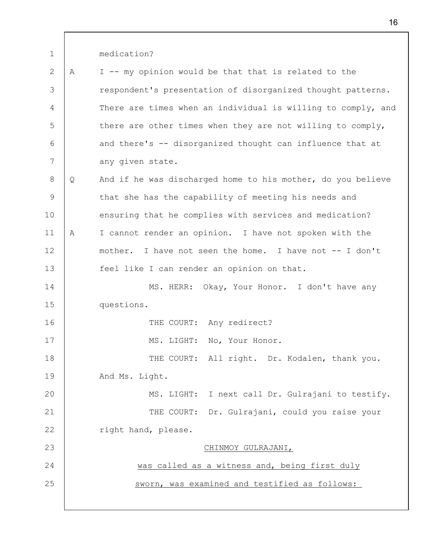1 2 3 4 5 6 7 8 9 10 11 12 13 14 15 16 17 18 19 20 21 22 23 24 25 medication? A I -- my opinion would be that that is related to the respondent's presentation of disorganized thought patterns. There are times when an individual is willing to comply, and there are other times when they are not willing to comply, and there's -- disorganized thought can influence that at any given state. Q And if he was discharged home to his mother, do you believe that she has the capability of meeting his needs and ensuring that he complies with services and medication? A I cannot render an opinion. I have not spoken with the mother. I have not seen the home. I have not -- I don't feel like I can render an opinion on that. MS. HERR: Okay, Your Honor. I don't have any questions. THE COURT: Any redirect? MS. LIGHT: No, Your Honor. THE COURT: All right. Dr. Kodalen, thank you. And Ms. Light. MS. LIGHT: I next call Dr. Gulrajani to testify. THE COURT: Dr. Gulrajani, could you raise your right hand, please. CHINMOY GULRAJANI, was called as a witness and, being first duly sworn, was examined and testified as follows: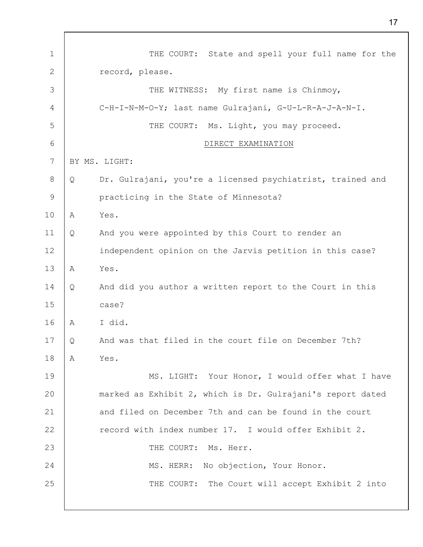1 2 3 4 5 6 7 8 9 10 11 12 13 14 15 16 17 18 19 20 21 22 23 24 25 THE COURT: State and spell your full name for the record, please. THE WITNESS: My first name is Chinmoy, C-H-I-N-M-O-Y; last name Gulrajani, G-U-L-R-A-J-A-N-I. THE COURT: Ms. Light, you may proceed. DIRECT EXAMINATION BY MS. LIGHT: Q Dr. Gulrajani, you're a licensed psychiatrist, trained and practicing in the State of Minnesota? A Yes. Q And you were appointed by this Court to render an independent opinion on the Jarvis petition in this case? A Yes. Q And did you author a written report to the Court in this case? A I did. Q And was that filed in the court file on December 7th? A Yes. MS. LIGHT: Your Honor, I would offer what I have marked as Exhibit 2, which is Dr. Gulrajani's report dated and filed on December 7th and can be found in the court record with index number 17. I would offer Exhibit 2. THE COURT: Ms. Herr. MS. HERR: No objection, Your Honor. THE COURT: The Court will accept Exhibit 2 into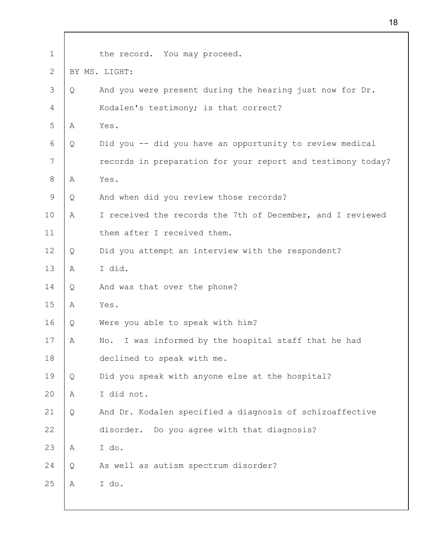| $\mathbf 1$ |   | the record. You may proceed.                                |
|-------------|---|-------------------------------------------------------------|
| 2           |   | BY MS. LIGHT:                                               |
| 3           | Q | And you were present during the hearing just now for Dr.    |
| 4           |   | Kodalen's testimony; is that correct?                       |
| 5           | A | Yes.                                                        |
| 6           | Q | Did you -- did you have an opportunity to review medical    |
| 7           |   | records in preparation for your report and testimony today? |
| 8           | Α | Yes.                                                        |
| 9           | Q | And when did you review those records?                      |
| 10          | Α | I received the records the 7th of December, and I reviewed  |
| 11          |   | them after I received them.                                 |
| 12          | Q | Did you attempt an interview with the respondent?           |
| 13          | A | I did.                                                      |
| 14          | Q | And was that over the phone?                                |
| 15          | Α | Yes.                                                        |
| 16          | Q | Were you able to speak with him?                            |
| 17          | Α | No. I was informed by the hospital staff that he had        |
| 18          |   | declined to speak with me.                                  |
| 19          | Q | Did you speak with anyone else at the hospital?             |
| 20          | Α | I did not.                                                  |
| 21          | Q | And Dr. Kodalen specified a diagnosis of schizoaffective    |
| 22          |   | disorder. Do you agree with that diagnosis?                 |
| 23          | A | I do.                                                       |
| 24          | Q | As well as autism spectrum disorder?                        |
| 25          | Α | I do.                                                       |
|             |   |                                                             |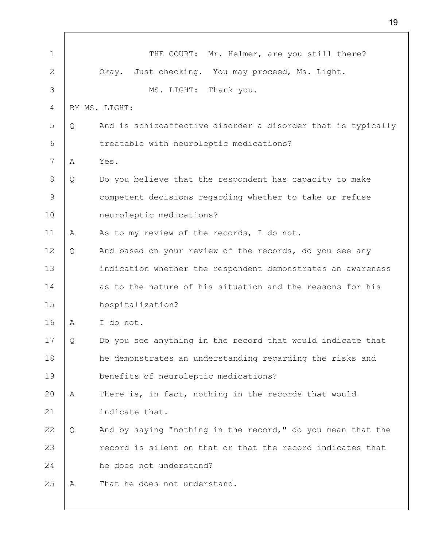| $\mathbf 1$ |   | THE COURT: Mr. Helmer, are you still there?                  |
|-------------|---|--------------------------------------------------------------|
| 2           |   | Just checking. You may proceed, Ms. Light.<br>Okay.          |
| 3           |   | MS. LIGHT: Thank you.                                        |
| 4           |   | BY MS. LIGHT:                                                |
| 5           | Q | And is schizoaffective disorder a disorder that is typically |
| 6           |   | treatable with neuroleptic medications?                      |
| 7           | A | Yes.                                                         |
| 8           | Q | Do you believe that the respondent has capacity to make      |
| 9           |   | competent decisions regarding whether to take or refuse      |
| 10          |   | neuroleptic medications?                                     |
| 11          | A | As to my review of the records, I do not.                    |
| 12          | Q | And based on your review of the records, do you see any      |
| 13          |   | indication whether the respondent demonstrates an awareness  |
| 14          |   | as to the nature of his situation and the reasons for his    |
| 15          |   | hospitalization?                                             |
| 16          | Α | I do not.                                                    |
| 17          | Q | Do you see anything in the record that would indicate that   |
| 18          |   | he demonstrates an understanding regarding the risks and     |
| 19          |   | benefits of neuroleptic medications?                         |
| 20          | Α | There is, in fact, nothing in the records that would         |
| 21          |   | indicate that.                                               |
| 22          | Q | And by saying "nothing in the record," do you mean that the  |
| 23          |   | record is silent on that or that the record indicates that   |
| 24          |   | he does not understand?                                      |
| 25          | Α | That he does not understand.                                 |
|             |   |                                                              |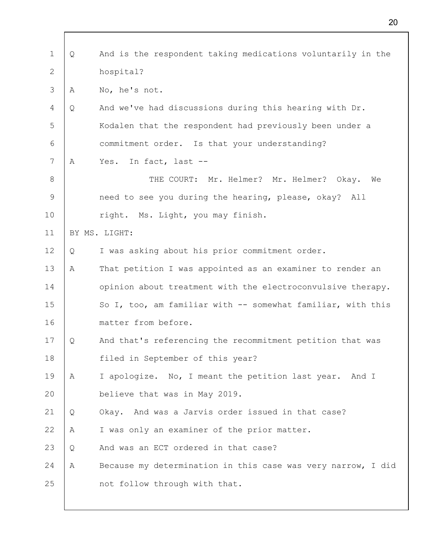| 1     | Q  | And is the respondent taking medications voluntarily in the  |
|-------|----|--------------------------------------------------------------|
| 2     |    | hospital?                                                    |
|       |    |                                                              |
| 3     | Α  | No, he's not.                                                |
| 4     | Q  | And we've had discussions during this hearing with Dr.       |
| 5     |    | Kodalen that the respondent had previously been under a      |
| 6     |    | commitment order. Is that your understanding?                |
| 7     | A  | In fact, last --<br>Yes.                                     |
| $8\,$ |    | THE COURT: Mr. Helmer? Mr. Helmer?<br>Okay.<br>We            |
| 9     |    | need to see you during the hearing, please, okay? All        |
| 10    |    | right. Ms. Light, you may finish.                            |
| 11    |    | BY MS. LIGHT:                                                |
| 12    | Q  | I was asking about his prior commitment order.               |
| 13    | Α  | That petition I was appointed as an examiner to render an    |
| 14    |    | opinion about treatment with the electroconvulsive therapy.  |
| 15    |    | So I, too, am familiar with -- somewhat familiar, with this  |
| 16    |    | matter from before.                                          |
| 17    | ¥. | And that's referencing the recommitment petition that was    |
| 18    |    | filed in September of this year?                             |
| 19    | A  | I apologize. No, I meant the petition last year. And I       |
| 20    |    | believe that was in May 2019.                                |
| 21    | Q  | Okay. And was a Jarvis order issued in that case?            |
| 22    | Α  | I was only an examiner of the prior matter.                  |
| 23    | Q  | And was an ECT ordered in that case?                         |
| 24    | A  | Because my determination in this case was very narrow, I did |
| 25    |    | not follow through with that.                                |
|       |    |                                                              |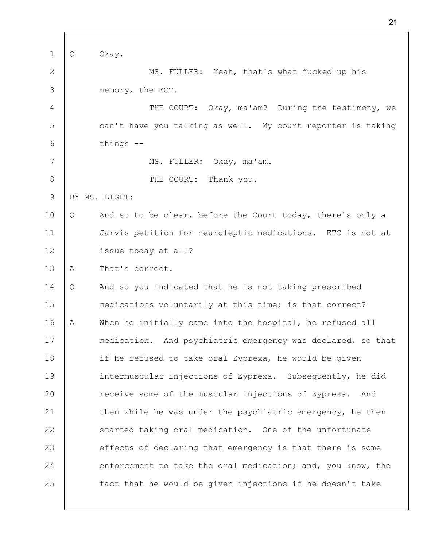1 2 3 4 5 6 7 8 9 10 11 12 13 14 15 16 17 18 19 20 21 22 23 24 25 Q Okay. MS. FULLER: Yeah, that's what fucked up his memory, the ECT. THE COURT: Okay, ma'am? During the testimony, we can't have you talking as well. My court reporter is taking things -- MS. FULLER: Okay, ma'am. THE COURT: Thank you. BY MS. LIGHT: Q And so to be clear, before the Court today, there's only a Jarvis petition for neuroleptic medications. ETC is not at issue today at all? A That's correct. Q And so you indicated that he is not taking prescribed medications voluntarily at this time; is that correct? A When he initially came into the hospital, he refused all medication. And psychiatric emergency was declared, so that if he refused to take oral Zyprexa, he would be given intermuscular injections of Zyprexa. Subsequently, he did receive some of the muscular injections of Zyprexa. And then while he was under the psychiatric emergency, he then started taking oral medication. One of the unfortunate effects of declaring that emergency is that there is some enforcement to take the oral medication; and, you know, the fact that he would be given injections if he doesn't take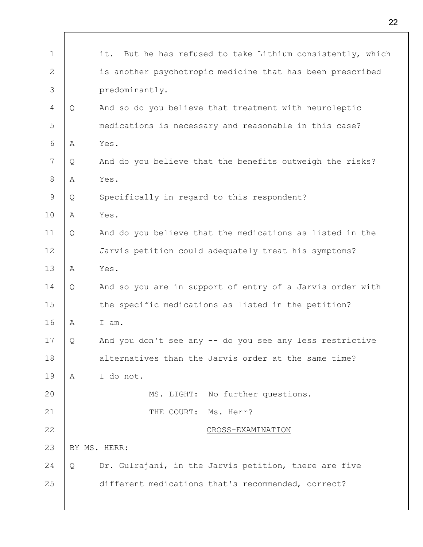| $\mathbf 1$  |   | it.<br>But he has refused to take Lithium consistently, which |
|--------------|---|---------------------------------------------------------------|
| $\mathbf{2}$ |   | is another psychotropic medicine that has been prescribed     |
| 3            |   | predominantly.                                                |
| 4            | Q | And so do you believe that treatment with neuroleptic         |
| 5            |   | medications is necessary and reasonable in this case?         |
| 6            | Α | Yes.                                                          |
| 7            | Q | And do you believe that the benefits outweigh the risks?      |
| $8\,$        | Α | Yes.                                                          |
| 9            | Q | Specifically in regard to this respondent?                    |
| 10           | Α | Yes.                                                          |
| 11           | Q | And do you believe that the medications as listed in the      |
| 12           |   | Jarvis petition could adequately treat his symptoms?          |
| 13           | Α | Yes.                                                          |
| 14           | Q | And so you are in support of entry of a Jarvis order with     |
| 15           |   | the specific medications as listed in the petition?           |
| 16           | Α | I am.                                                         |
| 17           | Q | And you don't see any -- do you see any less restrictive      |
| 18           |   | alternatives than the Jarvis order at the same time?          |
| 19           | A | I do not.                                                     |
| 20           |   | MS. LIGHT: No further questions.                              |
| 21           |   | THE COURT: Ms. Herr?                                          |
| 22           |   | CROSS-EXAMINATION                                             |
| 23           |   | BY MS. HERR:                                                  |
| 24           | Q | Dr. Gulrajani, in the Jarvis petition, there are five         |
| 25           |   | different medications that's recommended, correct?            |
|              |   |                                                               |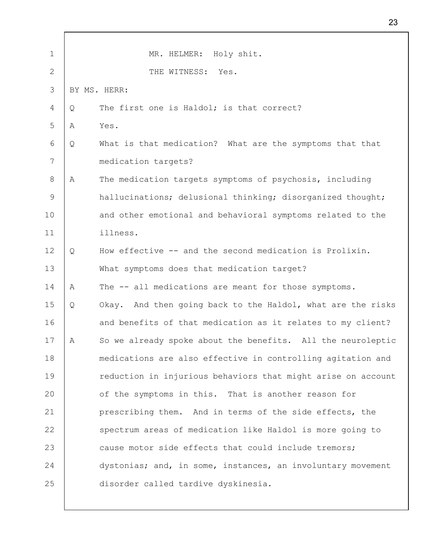| $\mathbf 1$   |   | MR. HELMER: Holy shit.                                       |
|---------------|---|--------------------------------------------------------------|
| 2             |   | THE WITNESS:<br>Yes.                                         |
| 3             |   | BY MS. HERR:                                                 |
| 4             | Q | The first one is Haldol; is that correct?                    |
| 5             | Α | Yes.                                                         |
| 6             | Q | What is that medication? What are the symptoms that that     |
| 7             |   | medication targets?                                          |
| 8             | A | The medication targets symptoms of psychosis, including      |
| $\mathcal{G}$ |   | hallucinations; delusional thinking; disorganized thought;   |
| 10            |   | and other emotional and behavioral symptoms related to the   |
| 11            |   | illness.                                                     |
| 12            | Q | How effective -- and the second medication is Prolixin.      |
| 13            |   | What symptoms does that medication target?                   |
| 14            | A | The -- all medications are meant for those symptoms.         |
| 15            | Q | Okay. And then going back to the Haldol, what are the risks  |
| 16            |   | and benefits of that medication as it relates to my client?  |
| 17            | Α | So we already spoke about the benefits. All the neuroleptic  |
| 18            |   | medications are also effective in controlling agitation and  |
| 19            |   | reduction in injurious behaviors that might arise on account |
| 20            |   | of the symptoms in this. That is another reason for          |
| 21            |   | prescribing them. And in terms of the side effects, the      |
| 22            |   | spectrum areas of medication like Haldol is more going to    |
| 23            |   | cause motor side effects that could include tremors;         |
| 24            |   | dystonias; and, in some, instances, an involuntary movement  |
| 25            |   | disorder called tardive dyskinesia.                          |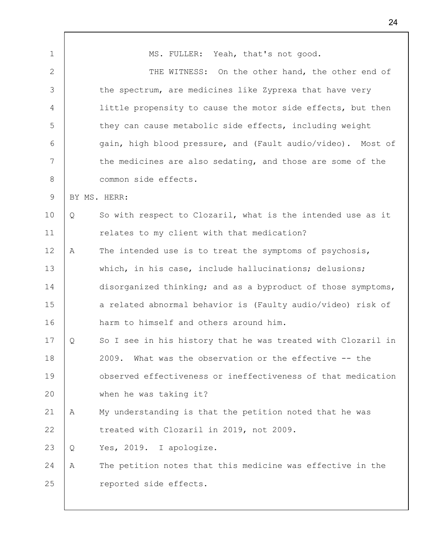1 2 3 4 5 6 7 8 9 10 11 12 13 14 15 16 17 18 19 20 21 22 23 24 25 MS. FULLER: Yeah, that's not good. THE WITNESS: On the other hand, the other end of the spectrum, are medicines like Zyprexa that have very little propensity to cause the motor side effects, but then they can cause metabolic side effects, including weight gain, high blood pressure, and (Fault audio/video). Most of the medicines are also sedating, and those are some of the common side effects. BY MS. HERR: Q So with respect to Clozaril, what is the intended use as it relates to my client with that medication? A The intended use is to treat the symptoms of psychosis, which, in his case, include hallucinations; delusions; disorganized thinking; and as a byproduct of those symptoms, a related abnormal behavior is (Faulty audio/video) risk of harm to himself and others around him. Q So I see in his history that he was treated with Clozaril in 2009. What was the observation or the effective -- the observed effectiveness or ineffectiveness of that medication when he was taking it? A My understanding is that the petition noted that he was treated with Clozaril in 2019, not 2009. Q Yes, 2019. I apologize. A The petition notes that this medicine was effective in the reported side effects.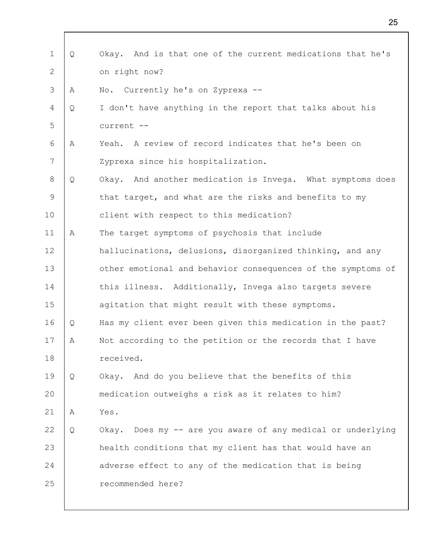| 1  | Q | And is that one of the current medications that he's<br>Okay.  |
|----|---|----------------------------------------------------------------|
| 2  |   | on right now?                                                  |
| 3  | A | No. Currently he's on Zyprexa --                               |
| 4  | Q | I don't have anything in the report that talks about his       |
| 5  |   | current --                                                     |
| 6  | Α | A review of record indicates that he's been on<br>Yeah.        |
| 7  |   | Zyprexa since his hospitalization.                             |
| 8  | Q | Okay. And another medication is Invega. What symptoms does     |
| 9  |   | that target, and what are the risks and benefits to my         |
| 10 |   | client with respect to this medication?                        |
| 11 | Α | The target symptoms of psychosis that include                  |
| 12 |   | hallucinations, delusions, disorganized thinking, and any      |
| 13 |   | other emotional and behavior consequences of the symptoms of   |
| 14 |   | this illness. Additionally, Invega also targets severe         |
| 15 |   | agitation that might result with these symptoms.               |
| 16 | Q | Has my client ever been given this medication in the past?     |
| 17 | Α | Not according to the petition or the records that I have       |
| 18 |   | received.                                                      |
| 19 | Q | Okay. And do you believe that the benefits of this             |
| 20 |   | medication outweighs a risk as it relates to him?              |
| 21 | A | Yes.                                                           |
| 22 | Q | Does my -- are you aware of any medical or underlying<br>Okay. |
| 23 |   | health conditions that my client has that would have an        |
| 24 |   | adverse effect to any of the medication that is being          |
| 25 |   | recommended here?                                              |
|    |   |                                                                |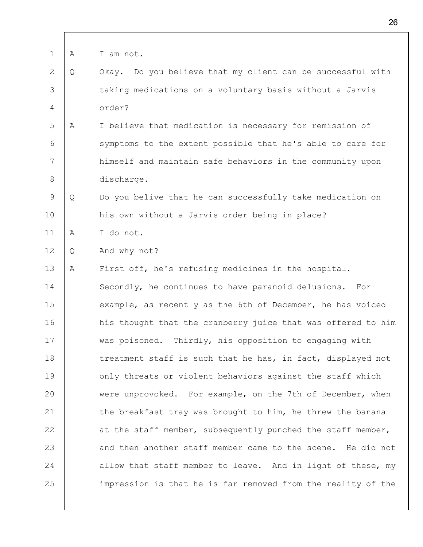| 1  | А | I am not.                                                     |
|----|---|---------------------------------------------------------------|
| 2  | Q | Do you believe that my client can be successful with<br>Okay. |
| 3  |   | taking medications on a voluntary basis without a Jarvis      |
| 4  |   | order?                                                        |
| 5  | A | I believe that medication is necessary for remission of       |
| 6  |   | symptoms to the extent possible that he's able to care for    |
| 7  |   | himself and maintain safe behaviors in the community upon     |
| 8  |   | discharge.                                                    |
| 9  | Q | Do you belive that he can successfully take medication on     |
| 10 |   | his own without a Jarvis order being in place?                |
| 11 | A | I do not.                                                     |
| 12 | Q | And why not?                                                  |
| 13 | Α | First off, he's refusing medicines in the hospital.           |
| 14 |   | Secondly, he continues to have paranoid delusions. For        |
| 15 |   | example, as recently as the 6th of December, he has voiced    |
| 16 |   | his thought that the cranberry juice that was offered to him  |
| 17 |   | was poisoned. Thirdly, his opposition to engaging with        |
| 18 |   | treatment staff is such that he has, in fact, displayed not   |
| 19 |   | only threats or violent behaviors against the staff which     |
| 20 |   | were unprovoked. For example, on the 7th of December, when    |
| 21 |   | the breakfast tray was brought to him, he threw the banana    |
| 22 |   | at the staff member, subsequently punched the staff member,   |
| 23 |   | and then another staff member came to the scene. He did not   |
| 24 |   | allow that staff member to leave. And in light of these, my   |
| 25 |   | impression is that he is far removed from the reality of the  |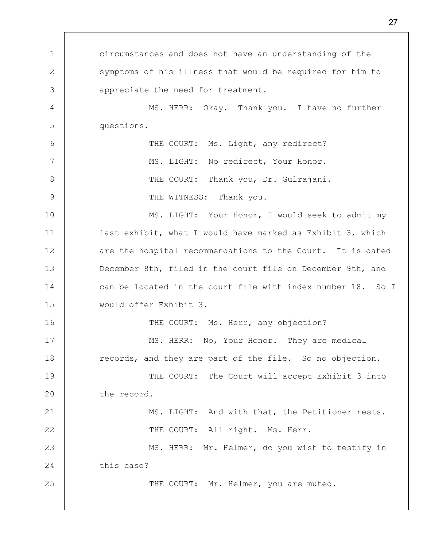1 2 3 4 5 6 7 8 9 10 11 12 13 14 15 16 17 18 19 20 21 22 23 24 25 circumstances and does not have an understanding of the symptoms of his illness that would be required for him to appreciate the need for treatment. MS. HERR: Okay. Thank you. I have no further questions. THE COURT: Ms. Light, any redirect? MS. LIGHT: No redirect, Your Honor. THE COURT: Thank you, Dr. Gulrajani. THE WITNESS: Thank you. MS. LIGHT: Your Honor, I would seek to admit my last exhibit, what I would have marked as Exhibit 3, which are the hospital recommendations to the Court. It is dated December 8th, filed in the court file on December 9th, and can be located in the court file with index number 18. So I would offer Exhibit 3. THE COURT: Ms. Herr, any objection? MS. HERR: No, Your Honor. They are medical records, and they are part of the file. So no objection. THE COURT: The Court will accept Exhibit 3 into the record. MS. LIGHT: And with that, the Petitioner rests. THE COURT: All right. Ms. Herr. MS. HERR: Mr. Helmer, do you wish to testify in this case? THE COURT: Mr. Helmer, you are muted.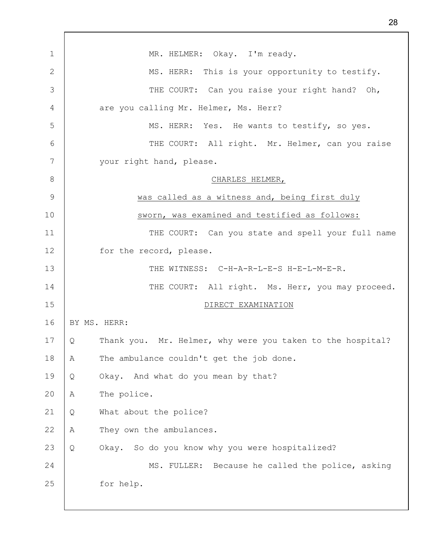| 1            | MR. HELMER: Okay. I'm ready.                                    |
|--------------|-----------------------------------------------------------------|
| $\mathbf{2}$ | MS. HERR: This is your opportunity to testify.                  |
| 3            | THE COURT: Can you raise your right hand? Oh,                   |
| 4            | are you calling Mr. Helmer, Ms. Herr?                           |
| 5            | MS. HERR: Yes. He wants to testify, so yes.                     |
| 6            | THE COURT: All right. Mr. Helmer, can you raise                 |
| 7            | your right hand, please.                                        |
| 8            | CHARLES HELMER,                                                 |
| 9            | was called as a witness and, being first duly                   |
| 10           | sworn, was examined and testified as follows:                   |
| 11           | THE COURT: Can you state and spell your full name               |
| 12           | for the record, please.                                         |
| 13           | THE WITNESS: C-H-A-R-L-E-S H-E-L-M-E-R.                         |
| 14           | THE COURT: All right. Ms. Herr, you may proceed.                |
| 15           | DIRECT EXAMINATION                                              |
| 16           | BY MS. HERR:                                                    |
| 17           | Thank you. Mr. Helmer, why were you taken to the hospital?<br>Q |
| 18           | The ambulance couldn't get the job done.<br>Α                   |
| 19           | Okay. And what do you mean by that?<br>Q                        |
| 20           | The police.<br>Α                                                |
| 21           | What about the police?<br>Q                                     |
| 22           | They own the ambulances.<br>Α                                   |
| 23           | Okay. So do you know why you were hospitalized?<br>Q            |
| 24           | MS. FULLER: Because he called the police, asking                |
| 25           | for help.                                                       |
|              |                                                                 |

 $\mathbf{r}$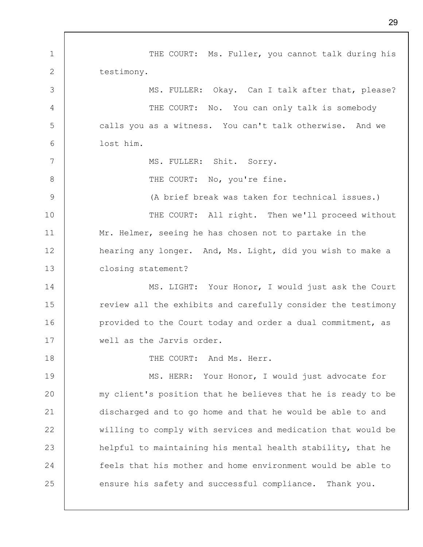1 2 3 4 5 6 7 8 9 10 11 12 13 14 15 16 17 18 19 20 21 22 23 24 25 THE COURT: Ms. Fuller, you cannot talk during his testimony. MS. FULLER: Okay. Can I talk after that, please? THE COURT: No. You can only talk is somebody calls you as a witness. You can't talk otherwise. And we lost him. MS. FULLER: Shit. Sorry. THE COURT: No, you're fine. (A brief break was taken for technical issues.) THE COURT: All right. Then we'll proceed without Mr. Helmer, seeing he has chosen not to partake in the hearing any longer. And, Ms. Light, did you wish to make a closing statement? MS. LIGHT: Your Honor, I would just ask the Court review all the exhibits and carefully consider the testimony provided to the Court today and order a dual commitment, as well as the Jarvis order. THE COURT: And Ms. Herr. MS. HERR: Your Honor, I would just advocate for my client's position that he believes that he is ready to be discharged and to go home and that he would be able to and willing to comply with services and medication that would be helpful to maintaining his mental health stability, that he feels that his mother and home environment would be able to ensure his safety and successful compliance. Thank you.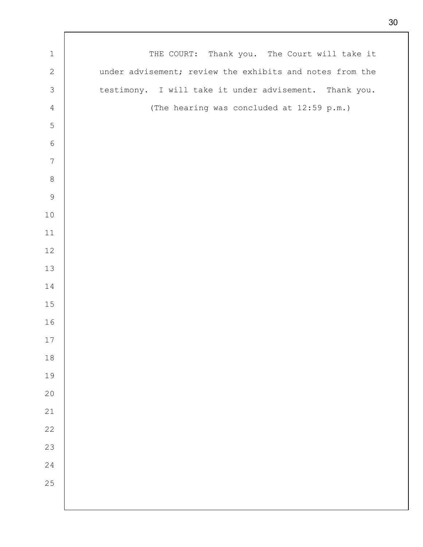| $1\,$            | THE COURT: Thank you. The Court will take it             |
|------------------|----------------------------------------------------------|
| $\mathbf{2}$     | under advisement; review the exhibits and notes from the |
| $\mathcal{S}$    | testimony. I will take it under advisement. Thank you.   |
| $\sqrt{4}$       | (The hearing was concluded at 12:59 p.m.)                |
| 5                |                                                          |
| $\epsilon$       |                                                          |
| $\boldsymbol{7}$ |                                                          |
| $\,8\,$          |                                                          |
| $\mathcal{G}$    |                                                          |
| $10$             |                                                          |
| $11$             |                                                          |
| 12               |                                                          |
| 13               |                                                          |
| 14               |                                                          |
| 15               |                                                          |
| 16               |                                                          |
| 17               |                                                          |
| $18\,$           |                                                          |
| 19               |                                                          |
| 20               |                                                          |
| $21\,$           |                                                          |
| 22               |                                                          |
| 23               |                                                          |
| 24               |                                                          |
| 25               |                                                          |
|                  |                                                          |